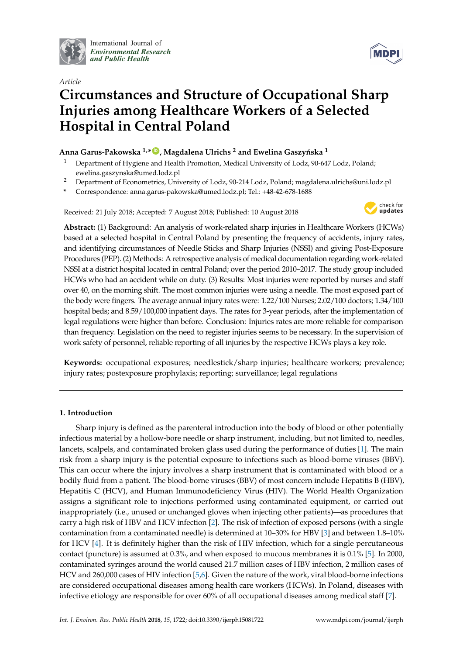

International Journal of *[Environmental Research](http://www.mdpi.com/journal/ijerph) and Public Health*



# *Article* **Circumstances and Structure of Occupational Sharp Injuries among Healthcare Workers of a Selected Hospital in Central Poland**

# **Anna Garus-Pakowska 1,\* [ID](https://orcid.org/0000-0002-1677-8146) , Magdalena Ulrichs <sup>2</sup> and Ewelina Gaszy ´nska <sup>1</sup>**

- <sup>1</sup> Department of Hygiene and Health Promotion, Medical University of Lodz, 90-647 Lodz, Poland; ewelina.gaszynska@umed.lodz.pl
- <sup>2</sup> Department of Econometrics, University of Lodz, 90-214 Lodz, Poland; magdalena.ulrichs@uni.lodz.pl
- **\*** Correspondence: anna.garus-pakowska@umed.lodz.pl; Tel.: +48-42-678-1688

Received: 21 July 2018; Accepted: 7 August 2018; Published: 10 August 2018



**Abstract:** (1) Background: An analysis of work-related sharp injuries in Healthcare Workers (HCWs) based at a selected hospital in Central Poland by presenting the frequency of accidents, injury rates, and identifying circumstances of Needle Sticks and Sharp Injuries (NSSI) and giving Post-Exposure Procedures (PEP). (2) Methods: A retrospective analysis of medical documentation regarding work-related NSSI at a district hospital located in central Poland; over the period 2010–2017. The study group included HCWs who had an accident while on duty. (3) Results: Most injuries were reported by nurses and staff over 40, on the morning shift. The most common injuries were using a needle. The most exposed part of the body were fingers. The average annual injury rates were: 1.22/100 Nurses; 2.02/100 doctors; 1.34/100 hospital beds; and 8.59/100,000 inpatient days. The rates for 3-year periods, after the implementation of legal regulations were higher than before. Conclusion: Injuries rates are more reliable for comparison than frequency. Legislation on the need to register injuries seems to be necessary. In the supervision of work safety of personnel, reliable reporting of all injuries by the respective HCWs plays a key role.

**Keywords:** occupational exposures; needlestick/sharp injuries; healthcare workers; prevalence; injury rates; postexposure prophylaxis; reporting; surveillance; legal regulations

### **1. Introduction**

Sharp injury is defined as the parenteral introduction into the body of blood or other potentially infectious material by a hollow-bore needle or sharp instrument, including, but not limited to, needles, lancets, scalpels, and contaminated broken glass used during the performance of duties [\[1\]](#page-7-0). The main risk from a sharp injury is the potential exposure to infections such as blood-borne viruses (BBV). This can occur where the injury involves a sharp instrument that is contaminated with blood or a bodily fluid from a patient. The blood-borne viruses (BBV) of most concern include Hepatitis B (HBV), Hepatitis C (HCV), and Human Immunodeficiency Virus (HIV). The World Health Organization assigns a significant role to injections performed using contaminated equipment, or carried out inappropriately (i.e., unused or unchanged gloves when injecting other patients)—as procedures that carry a high risk of HBV and HCV infection [\[2\]](#page-7-1). The risk of infection of exposed persons (with a single contamination from a contaminated needle) is determined at 10–30% for HBV [\[3\]](#page-7-2) and between 1.8–10% for HCV [\[4\]](#page-7-3). It is definitely higher than the risk of HIV infection, which for a single percutaneous contact (puncture) is assumed at 0.3%, and when exposed to mucous membranes it is 0.1% [\[5\]](#page-7-4). In 2000, contaminated syringes around the world caused 21.7 million cases of HBV infection, 2 million cases of HCV and 260,000 cases of HIV infection [\[5](#page-7-4)[,6\]](#page-7-5). Given the nature of the work, viral blood-borne infections are considered occupational diseases among health care workers (HCWs). In Poland, diseases with infective etiology are responsible for over 60% of all occupational diseases among medical staff [\[7\]](#page-7-6).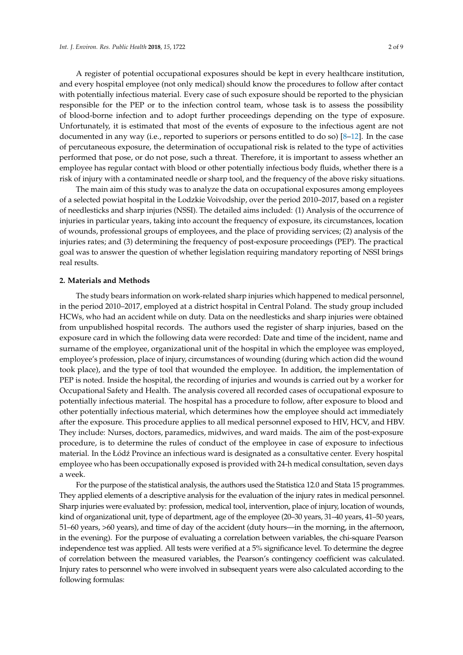A register of potential occupational exposures should be kept in every healthcare institution, and every hospital employee (not only medical) should know the procedures to follow after contact with potentially infectious material. Every case of such exposure should be reported to the physician responsible for the PEP or to the infection control team, whose task is to assess the possibility of blood-borne infection and to adopt further proceedings depending on the type of exposure. Unfortunately, it is estimated that most of the events of exposure to the infectious agent are not documented in any way (i.e., reported to superiors or persons entitled to do so) [\[8](#page-7-7)[–12\]](#page-7-8). In the case of percutaneous exposure, the determination of occupational risk is related to the type of activities performed that pose, or do not pose, such a threat. Therefore, it is important to assess whether an employee has regular contact with blood or other potentially infectious body fluids, whether there is a risk of injury with a contaminated needle or sharp tool, and the frequency of the above risky situations.

The main aim of this study was to analyze the data on occupational exposures among employees of a selected powiat hospital in the Lodzkie Voivodship, over the period 2010–2017, based on a register of needlesticks and sharp injuries (NSSI). The detailed aims included: (1) Analysis of the occurrence of injuries in particular years, taking into account the frequency of exposure, its circumstances, location of wounds, professional groups of employees, and the place of providing services; (2) analysis of the injuries rates; and (3) determining the frequency of post-exposure proceedings (PEP). The practical goal was to answer the question of whether legislation requiring mandatory reporting of NSSI brings real results.

#### **2. Materials and Methods**

The study bears information on work-related sharp injuries which happened to medical personnel, in the period 2010–2017, employed at a district hospital in Central Poland. The study group included HCWs, who had an accident while on duty. Data on the needlesticks and sharp injuries were obtained from unpublished hospital records. The authors used the register of sharp injuries, based on the exposure card in which the following data were recorded: Date and time of the incident, name and surname of the employee, organizational unit of the hospital in which the employee was employed, employee's profession, place of injury, circumstances of wounding (during which action did the wound took place), and the type of tool that wounded the employee. In addition, the implementation of PEP is noted. Inside the hospital, the recording of injuries and wounds is carried out by a worker for Occupational Safety and Health. The analysis covered all recorded cases of occupational exposure to potentially infectious material. The hospital has a procedure to follow, after exposure to blood and other potentially infectious material, which determines how the employee should act immediately after the exposure. This procedure applies to all medical personnel exposed to HIV, HCV, and HBV. They include: Nurses, doctors, paramedics, midwives, and ward maids. The aim of the post-exposure procedure, is to determine the rules of conduct of the employee in case of exposure to infectious material. In the Łódź Province an infectious ward is designated as a consultative center. Every hospital employee who has been occupationally exposed is provided with 24-h medical consultation, seven days a week.

For the purpose of the statistical analysis, the authors used the Statistica 12.0 and Stata 15 programmes. They applied elements of a descriptive analysis for the evaluation of the injury rates in medical personnel. Sharp injuries were evaluated by: profession, medical tool, intervention, place of injury, location of wounds, kind of organizational unit, type of department, age of the employee (20–30 years, 31–40 years, 41–50 years, 51–60 years, >60 years), and time of day of the accident (duty hours—in the morning, in the afternoon, in the evening). For the purpose of evaluating a correlation between variables, the chi-square Pearson independence test was applied. All tests were verified at a 5% significance level. To determine the degree of correlation between the measured variables, the Pearson's contingency coefficient was calculated. Injury rates to personnel who were involved in subsequent years were also calculated according to the following formulas: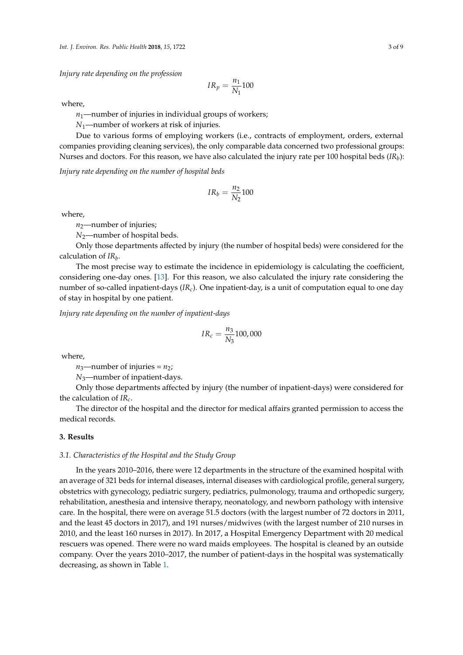*Injury rate depending on the profession*

$$
IR_p = \frac{n_1}{N_1}100
$$

where,

 $n_1$ —number of injuries in individual groups of workers;

*N*1—number of workers at risk of injuries.

Due to various forms of employing workers (i.e., contracts of employment, orders, external companies providing cleaning services), the only comparable data concerned two professional groups: Nurses and doctors. For this reason, we have also calculated the injury rate per 100 hospital beds (*IR<sup>b</sup>* ):

*Injury rate depending on the number of hospital beds*

$$
IR_b = \frac{n_2}{N_2}100
$$

where,

*n*2—number of injuries;

*N*2—number of hospital beds.

Only those departments affected by injury (the number of hospital beds) were considered for the calculation of *IR<sup>b</sup>* .

The most precise way to estimate the incidence in epidemiology is calculating the coefficient, considering one-day ones. [\[13\]](#page-7-9). For this reason, we also calculated the injury rate considering the number of so-called inpatient-days (*IRc*). One inpatient-day, is a unit of computation equal to one day of stay in hospital by one patient.

*Injury rate depending on the number of inpatient-days*

$$
IR_c = \frac{n_3}{N_3} 100,000
$$

where,

 $n_3$ —number of injuries =  $n_2$ ;

*N*3—number of inpatient-days.

Only those departments affected by injury (the number of inpatient-days) were considered for the calculation of *IRc*.

The director of the hospital and the director for medical affairs granted permission to access the medical records.

## **3. Results**

#### *3.1. Characteristics of the Hospital and the Study Group*

In the years 2010–2016, there were 12 departments in the structure of the examined hospital with an average of 321 beds for internal diseases, internal diseases with cardiological profile, general surgery, obstetrics with gynecology, pediatric surgery, pediatrics, pulmonology, trauma and orthopedic surgery, rehabilitation, anesthesia and intensive therapy, neonatology, and newborn pathology with intensive care. In the hospital, there were on average 51.5 doctors (with the largest number of 72 doctors in 2011, and the least 45 doctors in 2017), and 191 nurses/midwives (with the largest number of 210 nurses in 2010, and the least 160 nurses in 2017). In 2017, a Hospital Emergency Department with 20 medical rescuers was opened. There were no ward maids employees. The hospital is cleaned by an outside company. Over the years 2010–2017, the number of patient-days in the hospital was systematically decreasing, as shown in Table [1.](#page-3-0)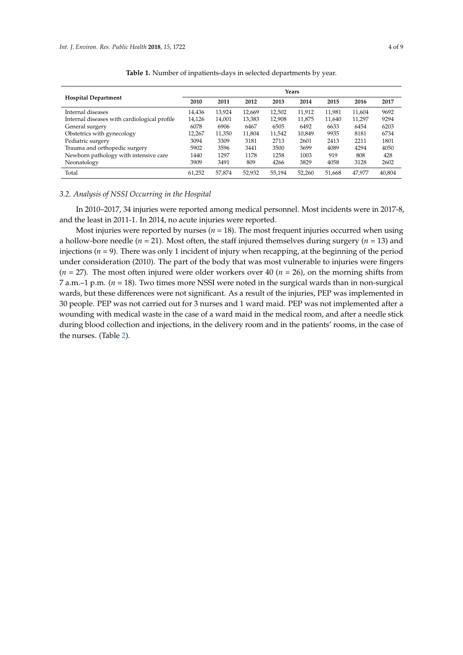<span id="page-3-0"></span>

|                                              | Years  |        |        |        |        |        |        |        |  |  |
|----------------------------------------------|--------|--------|--------|--------|--------|--------|--------|--------|--|--|
| <b>Hospital Department</b>                   | 2010   | 2011   | 2012   | 2013   | 2014   | 2015   | 2016   | 2017   |  |  |
| Internal diseases                            | 14,436 | 13,924 | 12,669 | 12,502 | 11,912 | 11,981 | 11,604 | 9692   |  |  |
| Internal diseases with cardiological profile | 14,126 | 14,001 | 13,383 | 12,908 | 11,875 | 11,640 | 11,297 | 9294   |  |  |
| General surgery                              | 6078   | 6906   | 6467   | 6505   | 6492   | 6633   | 6454   | 6203   |  |  |
| Obstetrics with gynecology                   | 12,267 | 11,350 | 11,804 | 11,542 | 10,849 | 9935   | 8181   | 6734   |  |  |
| Pediatric surgery                            | 3094   | 3309   | 3181   | 2713   | 2601   | 2413   | 2211   | 1801   |  |  |
| Trauma and orthopedic surgery                | 5902   | 3596   | 3441   | 3500   | 3699   | 4089   | 4294   | 4050   |  |  |
| Newborn pathology with intensive care        | 1440   | 1297   | 1178   | 1258   | 1003   | 919    | 808    | 428    |  |  |
| Neonatology                                  | 3909   | 3491   | 809    | 4266   | 3829   | 4058   | 3128   | 2602   |  |  |
| Total                                        | 61,252 | 57,874 | 52,932 | 55,194 | 52,260 | 51,668 | 47,977 | 40,804 |  |  |

**Table 1.** Number of inpatients-days in selected departments by year.

#### *3.2. Analysis of NSSI Occurring in the Hospital*

In 2010–2017, 34 injuries were reported among medical personnel. Most incidents were in 2017-8, and the least in 2011-1. In 2014, no acute injuries were reported.

Most injuries were reported by nurses  $(n = 18)$ . The most frequent injuries occurred when using a hollow-bore needle ( $n = 21$ ). Most often, the staff injured themselves during surgery ( $n = 13$ ) and injections  $(n = 9)$ . There was only 1 incident of injury when recapping, at the beginning of the period under consideration (2010). The part of the body that was most vulnerable to injuries were fingers  $(n = 27)$ . The most often injured were older workers over 40  $(n = 26)$ , on the morning shifts from 7 a.m.–1 p.m. (*n* = 18). Two times more NSSI were noted in the surgical wards than in non-surgical wards, but these differences were not significant. As a result of the injuries, PEP was implemented in 30 people. PEP was not carried out for 3 nurses and 1 ward maid. PEP was not implemented after a wounding with medical waste in the case of a ward maid in the medical room, and after a needle stick during blood collection and injections, in the delivery room and in the patients' rooms, in the case of the nurses. (Table [2\)](#page-4-0).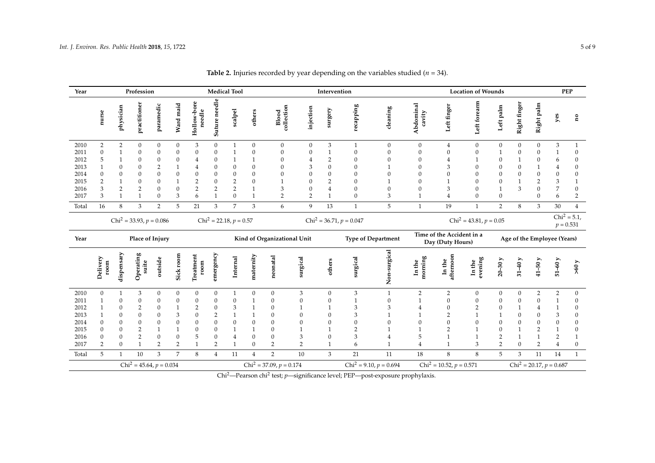| Year  |                                                                                     |           | Profession      |              |                  |                                              |                | <b>Medical Tool</b> |              |                          |                | Intervention |                                           |              | <b>Location of Wounds</b>                  |                                |              |                |              |              | PEP          |                                   |
|-------|-------------------------------------------------------------------------------------|-----------|-----------------|--------------|------------------|----------------------------------------------|----------------|---------------------|--------------|--------------------------|----------------|--------------|-------------------------------------------|--------------|--------------------------------------------|--------------------------------|--------------|----------------|--------------|--------------|--------------|-----------------------------------|
|       | nurse                                                                               | physician | ā<br>practition | paramedic    | ರ<br>ñai<br>Ward | ore<br>eedle<br>ᠲ<br>₹<br>Hollo <sup>-</sup> | ਰੰ<br>Ö        | scalpel             | others       | Blood<br>ollectio        | injection      | surgery      | apping                                    | cleaning     | bdominal<br>$\mathop{\sf cavity}\nolimits$ | Left finger                    | eft forearn  | Left palm      | Right finger | Right palm   | yes          | $\mathbf{e}$                      |
| 2010  |                                                                                     | 2         | $\mathbf{0}$    | $\mathbf{0}$ | $\theta$         | 3                                            | $\mathbf{0}$   |                     | $\mathbf{0}$ | $\mathbf{0}$             | $\overline{0}$ | 3            |                                           | $\mathbf{0}$ | $\Omega$                                   | 4                              |              | $\mathbf{0}$   | 0            | $\mathbf{0}$ | 3            |                                   |
| 2011  |                                                                                     |           | 0               | 0            | $\mathbf{0}$     | $\mathbf{0}$                                 | $\mathbf{0}$   |                     | $\mathbf{0}$ | $\mathbf{0}$             | 0              |              |                                           |              |                                            | $\theta$                       |              |                | 0            | $\theta$     |              | 0                                 |
| 2012  |                                                                                     |           | $\Omega$        | $\mathbf{0}$ | $\mathbf{0}$     | 4                                            | $\mathbf{0}$   |                     |              |                          | 4              |              |                                           |              |                                            |                                |              |                |              | $\Omega$     | 6            | $\Omega$                          |
| 2013  |                                                                                     | 0         | $\mathbf{0}$    | 2            |                  | 4                                            | $\mathbf{0}$   | $\mathbf{0}$        | $\theta$     | $\theta$                 | 3              | $\Omega$     |                                           |              |                                            | 3                              |              | $\mathbf{0}$   | $\mathbf{0}$ |              | 4            | $\Omega$                          |
| 2014  |                                                                                     | 0         | $\mathbf{0}$    | $\mathbf{0}$ | $\mathbf{0}$     | $\overline{0}$                               | $\mathbf{0}$   | $\mathbf{0}$        | $\mathbf{0}$ |                          | $\mathbf{0}$   |              |                                           |              |                                            |                                |              | $\mathbf{0}$   | $\mathbf{0}$ | $\theta$     | $\mathbf{0}$ | $\Omega$                          |
| 2015  |                                                                                     |           | $\mathbf{0}$    | $\mathbf{0}$ |                  | 2                                            | $\mathbf{0}$   | 2                   | $\theta$     |                          | $\mathbf{0}$   |              |                                           |              |                                            |                                | $\mathbf{0}$ | $\mathbf{0}$   |              | 2            | 3            |                                   |
| 2016  |                                                                                     |           |                 | $\mathbf{0}$ | $\theta$         | 2                                            | $\overline{2}$ | 2                   |              |                          | $\mathbf{0}$   | 4            |                                           | $\theta$     |                                            | 3                              |              |                | 3            | $\theta$     |              | 0                                 |
| 2017  | 3                                                                                   |           |                 | 0            | 3                | 6                                            |                |                     |              | $\overline{2}$           | 2              |              |                                           | 3            |                                            |                                |              | $\mathbf{0}$   |              | $\Omega$     | 6            | $\overline{2}$                    |
| Total | 16                                                                                  | 8         | 3               | 2            | 5                | 21                                           | 3              | 7                   | 3            | 6                        | 9              | 13           |                                           | 5            |                                            | 19                             |              | $\overline{2}$ | 8            | 3            | 30           | 4                                 |
|       | $Chi^2 = 22.18, p = 0.57$<br>$Chi2 = 33.93, p = 0.086$<br>$Chi2 = 36.71, p = 0.047$ |           |                 |              |                  |                                              |                |                     |              | $Chi2 = 43.81, p = 0.05$ |                |              |                                           |              |                                            | $Chi^2 = 5.1$ ,<br>$p = 0.531$ |              |                |              |              |              |                                   |
|       |                                                                                     |           | $\sim$          |              |                  |                                              |                |                     | .            |                          |                |              | <b>Service Contract Contract Contract</b> |              |                                            | Time of the Accident in a      |              |                |              |              |              | the company's company's company's |

**Table 2.** Injuries recorded by year depending on the variables studied ( $n = 34$ ).

<span id="page-4-0"></span>

| Year  | Place of Injury  |      |                           |              |                            |                               | Kind of Organizational Unit |              |              |                |             | <b>Type of Department</b> |                                       | Time of the Accident in a<br>Day (Duty Hours) |                   |                            | Age of the Employee (Years) |                |                  |                |              |                            |
|-------|------------------|------|---------------------------|--------------|----------------------------|-------------------------------|-----------------------------|--------------|--------------|----------------|-------------|---------------------------|---------------------------------------|-----------------------------------------------|-------------------|----------------------------|-----------------------------|----------------|------------------|----------------|--------------|----------------------------|
|       | Delivery<br>$^n$ | epe; | Φ<br>suite<br>era         | outsid       | Sick roor                  | eatment<br>$_{\rm room}$<br>A | S<br>emergen                | Internal     | maternity    | eonatal        | surgical    | others                    | rgic<br>m                             | rgic                                          | morning<br>In the | ω<br>€                     | $\frac{a}{2}$<br>모          | 30y<br>ន       | 40y<br>$\vec{3}$ | $41 - 50y$     | 60y<br>5     | $\blacktriangleright$<br>8 |
| 2010  |                  |      |                           |              |                            |                               |                             |              | $\Omega$     | $\Omega$       | 3           | $\mathbf{0}$              | $\mathcal{L}$                         |                                               | $\mathcal{D}$     |                            |                             | $\Omega$       |                  |                |              | 0                          |
| 2011  |                  |      | $\Omega$                  | $\Omega$     | $\mathbf{0}$               | $\mathbf{0}$                  | $\theta$                    | 0            |              | $\mathbf{0}$   | $\Omega$    | $\mathbf{0}$              |                                       |                                               |                   |                            |                             | $\mathbf{0}$   | $\mathbf{0}$     | $\mathbf{0}$   |              | 0                          |
| 2012  |                  |      |                           |              |                            |                               | $\mathbf{0}$                | 3            |              | $\Omega$       |             |                           |                                       |                                               |                   |                            |                             | $\mathbf{0}$   |                  |                |              | 0                          |
| 2013  |                  |      | $\mathbf{0}$              | $\mathbf{0}$ | 3                          | $\mathbf{0}$                  |                             |              |              |                |             | $\mathbf{0}$              |                                       |                                               |                   |                            |                             |                | $\mathbf{0}$     | $\mathbf{0}$   | 3            | $\mathbf{0}$               |
| 2014  |                  |      | $\mathbf{0}$              |              | $\overline{0}$             | $\mathbf{0}$                  | $\mathbf{0}$                | $\mathbf{0}$ | $\theta$     | $\mathbf{0}$   |             | $\mathbf{0}$              |                                       |                                               |                   |                            |                             | $\mathbf{0}$   | $\mathbf{0}$     | $\mathbf{0}$   | $\mathbf{0}$ | $\mathbf{0}$               |
| 2015  |                  |      |                           |              |                            | $\Omega$                      |                             |              |              |                |             |                           |                                       |                                               |                   |                            |                             | $\Omega$       |                  | ာ              |              |                            |
| 2016  |                  |      |                           | $\Omega$     | $\Omega$                   | 5                             | $\Omega$                    |              | $\mathbf{0}$ | $\Omega$       | $\sim$<br>3 | $\Omega$                  | .5                                    |                                               |                   |                            |                             | $\sim$         |                  |                | ာ            |                            |
| 2017  |                  |      |                           | $\sim$       | っ                          |                               | $\mathcal{D}$               |              | $\theta$     | $\mathcal{D}$  | $\sim$      |                           | 6                                     |                                               | 4                 |                            |                             | $\overline{2}$ | $\Omega$         | $\overline{2}$ | 4            | $\mathbf{0}$               |
| Total |                  |      | 10                        | 3            |                            | 8                             | 4                           | 11           |              | $\overline{2}$ | 10          | 3                         | 21                                    | 11                                            | 18                | 8                          | 8                           | 5.             | 3                | 11             | 14           |                            |
|       |                  |      | $Chi2 = 45.64, p = 0.034$ |              | $Chi^2 = 37.09, p = 0.174$ |                               |                             |              |              |                |             | $Chi^2 = 9.10, p = 0.694$ | Chi <sup>2</sup> = 10.52, $p = 0.571$ |                                               |                   | $Chi^2 = 20.17, p = 0.687$ |                             |                |                  |                |              |                            |

Chi<sup>2</sup>—Pearson chi<sup>2</sup> test; *p*—significance level; PEP—post-exposure prophylaxis.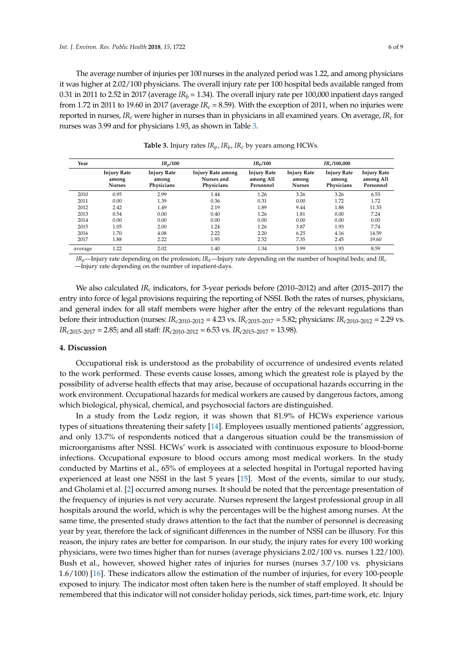The average number of injuries per 100 nurses in the analyzed period was 1.22, and among physicians it was higher at 2.02/100 physicians. The overall injury rate per 100 hospital beds available ranged from 0.31 in 2011 to 2.52 in 2017 (average *IR<sup>b</sup>* = 1.34). The overall injury rate per 100,000 inpatient days ranged from 1.72 in 2011 to 19.60 in 2017 (average *IR<sup>c</sup>* = 8.59). With the exception of 2011, when no injuries were reported in nurses, *IRc* were higher in nurses than in physicians in all examined years. On average, *IRc* for nurses was 3.99 and for physicians 1.93, as shown in Table [3.](#page-5-0)

<span id="page-5-0"></span>

| Year    |                                              | $IR_n/100$                                |                                                      | IR <sub>h</sub> /100<br>$IR_c/100,000$       |                                              |                                           |                                              |  |  |  |  |
|---------|----------------------------------------------|-------------------------------------------|------------------------------------------------------|----------------------------------------------|----------------------------------------------|-------------------------------------------|----------------------------------------------|--|--|--|--|
|         | <b>Injury Rate</b><br>among<br><b>Nurses</b> | <b>Injury Rate</b><br>among<br>Physicians | <b>Injury Rate among</b><br>Nurses and<br>Physicians | <b>Injury Rate</b><br>among All<br>Personnel | <b>Injury Rate</b><br>among<br><b>Nurses</b> | <b>Injury Rate</b><br>among<br>Physicians | <b>Injury Rate</b><br>among All<br>Personnel |  |  |  |  |
| 2010    | 0.95                                         | 2.99                                      | 1.44                                                 | 1.26                                         | 3.26                                         | 3.26                                      | 6.53                                         |  |  |  |  |
| 2011    | 0.00                                         | 1.39                                      | 0.36                                                 | 0.31                                         | 0.00                                         | 1.72                                      | 1.72                                         |  |  |  |  |
| 2012    | 2.42                                         | 1.49                                      | 2.19                                                 | 1.89                                         | 9.44                                         | 1.88                                      | 11.33                                        |  |  |  |  |
| 2013    | 0.54                                         | 0.00                                      | 0.40                                                 | 1.26                                         | 1.81                                         | 0.00                                      | 7.24                                         |  |  |  |  |
| 2014    | 0.00                                         | 0.00                                      | 0.00                                                 | 0.00                                         | 0.00                                         | 0.00                                      | 0.00                                         |  |  |  |  |
| 2015    | 1.05                                         | 2.00                                      | 1.24                                                 | 1.26                                         | 3.87                                         | 1.93                                      | 7.74                                         |  |  |  |  |
| 2016    | 1.70                                         | 4.08                                      | 2.22                                                 | 2.20                                         | 6.25                                         | 4.16                                      | 14.59                                        |  |  |  |  |
| 2017    | 1.88                                         | 2.22                                      | 1.95                                                 | 2.52                                         | 7.35                                         | 2.45                                      | 19.60                                        |  |  |  |  |
| average | 1.22                                         | 2.02                                      | 1.40                                                 | 1.34                                         | 3.99                                         | 1.93                                      | 8.59                                         |  |  |  |  |

**Table 3.** Injury rates *IRp*, *IR<sup>b</sup>* , *IRc* by years among HCWs.

*IRp*—Injury rate depending on the profession; *IRb*—Injury rate depending on the number of hospital beds; and *IR<sup>c</sup>* —Injury rate depending on the number of inpatient-days.

We also calculated *IR<sup>c</sup>* indicators, for 3-year periods before (2010–2012) and after (2015–2017) the entry into force of legal provisions requiring the reporting of NSSI. Both the rates of nurses, physicians, and general index for all staff members were higher after the entry of the relevant regulations than before their introduction (nurses:  $IR_{c2010-2012} = 4.23$  vs.  $IR_{c2015-2017} = 5.82$ ; physicians:  $IR_{c2010-2012} = 2.29$  vs. *IRc*2015–2017 = 2.85; and all staff: *IRc*2010–2012 = 6.53 vs. *IRc*2015–2017 = 13.98).

#### **4. Discussion**

Occupational risk is understood as the probability of occurrence of undesired events related to the work performed. These events cause losses, among which the greatest role is played by the possibility of adverse health effects that may arise, because of occupational hazards occurring in the work environment. Occupational hazards for medical workers are caused by dangerous factors, among which biological, physical, chemical, and psychosocial factors are distinguished.

In a study from the Lodz region, it was shown that 81.9% of HCWs experience various types of situations threatening their safety [\[14\]](#page-7-10). Employees usually mentioned patients' aggression, and only 13.7% of respondents noticed that a dangerous situation could be the transmission of microorganisms after NSSI. HCWs' work is associated with continuous exposure to blood-borne infections. Occupational exposure to blood occurs among most medical workers. In the study conducted by Martins et al., 65% of employees at a selected hospital in Portugal reported having experienced at least one NSSI in the last 5 years [\[15\]](#page-7-11). Most of the events, similar to our study, and Gholami et al. [\[2\]](#page-7-1) occurred among nurses. It should be noted that the percentage presentation of the frequency of injuries is not very accurate. Nurses represent the largest professional group in all hospitals around the world, which is why the percentages will be the highest among nurses. At the same time, the presented study draws attention to the fact that the number of personnel is decreasing year by year, therefore the lack of significant differences in the number of NSSI can be illusory. For this reason, the injury rates are better for comparison. In our study, the injury rates for every 100 working physicians, were two times higher than for nurses (average physicians 2.02/100 vs. nurses 1.22/100). Bush et al., however, showed higher rates of injuries for nurses (nurses 3.7/100 vs. physicians 1.6/100) [\[16\]](#page-7-12). These indicators allow the estimation of the number of injuries, for every 100-people exposed to injury. The indicator most often taken here is the number of staff employed. It should be remembered that this indicator will not consider holiday periods, sick times, part-time work, etc. Injury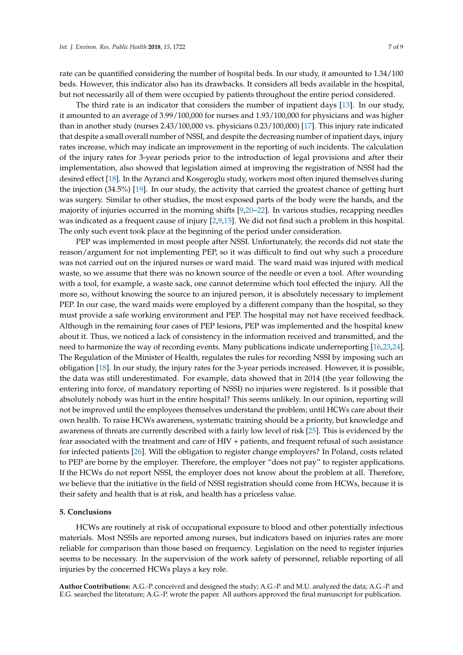rate can be quantified considering the number of hospital beds. In our study, it amounted to 1.34/100 beds. However, this indicator also has its drawbacks. It considers all beds available in the hospital, but not necessarily all of them were occupied by patients throughout the entire period considered.

The third rate is an indicator that considers the number of inpatient days [\[13\]](#page-7-9). In our study, it amounted to an average of 3.99/100,000 for nurses and 1.93/100,000 for physicians and was higher than in another study (nurses 2.43/100,000 vs. physicians 0.23/100,000) [\[17\]](#page-7-13). This injury rate indicated that despite a small overall number of NSSI, and despite the decreasing number of inpatient days, injury rates increase, which may indicate an improvement in the reporting of such incidents. The calculation of the injury rates for 3-year periods prior to the introduction of legal provisions and after their implementation, also showed that legislation aimed at improving the registration of NSSI had the desired effect [\[18\]](#page-8-0). In the Ayranci and Kosgeroglu study, workers most often injured themselves during the injection (34.5%) [\[19\]](#page-8-1). In our study, the activity that carried the greatest chance of getting hurt was surgery. Similar to other studies, the most exposed parts of the body were the hands, and the majority of injuries occurred in the morning shifts [\[9](#page-7-14)[,20–](#page-8-2)[22\]](#page-8-3). In various studies, recapping needles was indicated as a frequent cause of injury [\[2,](#page-7-1)[9,](#page-7-14)[15\]](#page-7-11). We did not find such a problem in this hospital. The only such event took place at the beginning of the period under consideration.

PEP was implemented in most people after NSSI. Unfortunately, the records did not state the reason/argument for not implementing PEP, so it was difficult to find out why such a procedure was not carried out on the injured nurses or ward maid. The ward maid was injured with medical waste, so we assume that there was no known source of the needle or even a tool. After wounding with a tool, for example, a waste sack, one cannot determine which tool effected the injury. All the more so, without knowing the source to an injured person, it is absolutely necessary to implement PEP. In our case, the ward maids were employed by a different company than the hospital, so they must provide a safe working environment and PEP. The hospital may not have received feedback. Although in the remaining four cases of PEP lesions, PEP was implemented and the hospital knew about it. Thus, we noticed a lack of consistency in the information received and transmitted, and the need to harmonize the way of recording events. Many publications indicate underreporting [\[16](#page-7-12)[,23](#page-8-4)[,24\]](#page-8-5). The Regulation of the Minister of Health, regulates the rules for recording NSSI by imposing such an obligation [\[18\]](#page-8-0). In our study, the injury rates for the 3-year periods increased. However, it is possible, the data was still underestimated. For example, data showed that in 2014 (the year following the entering into force, of mandatory reporting of NSSI) no injuries were registered. Is it possible that absolutely nobody was hurt in the entire hospital? This seems unlikely. In our opinion, reporting will not be improved until the employees themselves understand the problem; until HCWs care about their own health. To raise HCWs awareness, systematic training should be a priority, but knowledge and awareness of threats are currently described with a fairly low level of risk [\[25\]](#page-8-6). This is evidenced by the fear associated with the treatment and care of HIV + patients, and frequent refusal of such assistance for infected patients [\[26\]](#page-8-7). Will the obligation to register change employers? In Poland, costs related to PEP are borne by the employer. Therefore, the employer "does not pay" to register applications. If the HCWs do not report NSSI, the employer does not know about the problem at all. Therefore, we believe that the initiative in the field of NSSI registration should come from HCWs, because it is their safety and health that is at risk, and health has a priceless value.

#### **5. Conclusions**

HCWs are routinely at risk of occupational exposure to blood and other potentially infectious materials. Most NSSIs are reported among nurses, but indicators based on injuries rates are more reliable for comparison than those based on frequency. Legislation on the need to register injuries seems to be necessary. In the supervision of the work safety of personnel, reliable reporting of all injuries by the concerned HCWs plays a key role.

**Author Contributions:** A.G.-P. conceived and designed the study; A.G.-P. and M.U. analyzed the data; A.G.-P. and E.G. searched the literature; A.G.-P. wrote the paper. All authors approved the final manuscript for publication.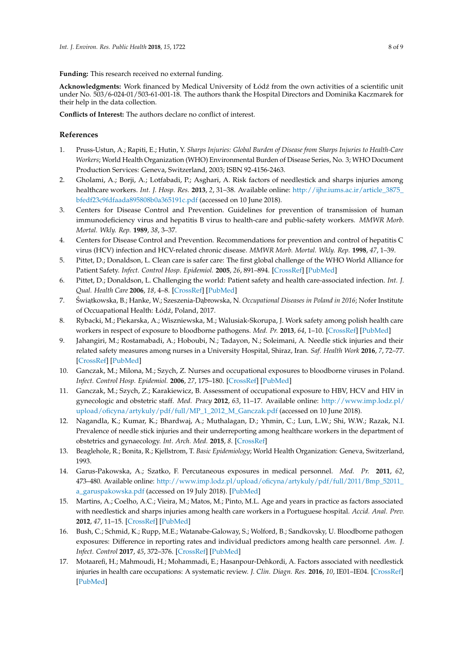**Funding:** This research received no external funding.

Acknowledgments: Work financed by Medical University of Łódź from the own activities of a scientific unit under No. 503/6-024-01/503-61-001-18. The authors thank the Hospital Directors and Dominika Kaczmarek for their help in the data collection.

**Conflicts of Interest:** The authors declare no conflict of interest.

#### **References**

- <span id="page-7-0"></span>1. Pruss-Ustun, A.; Rapiti, E.; Hutin, Y. *Sharps Injuries: Global Burden of Disease from Sharps Injuries to Health-Care Workers*; World Health Organization (WHO) Environmental Burden of Disease Series, No. 3; WHO Document Production Services: Geneva, Switzerland, 2003; ISBN 92-4156-2463.
- <span id="page-7-1"></span>2. Gholami, A.; Borji, A.; Lotfabadi, P.; Asghari, A. Risk factors of needlestick and sharps injuries among healthcare workers. *Int. J. Hosp. Res.* **2013**, *2*, 31–38. Available online: [http://ijhr.iums.ac.ir/article\\_3875\\_](http://ijhr.iums.ac.ir/article_3875_bfedf23c9fdfaada895808b0a365191c.pdf) [bfedf23c9fdfaada895808b0a365191c.pdf](http://ijhr.iums.ac.ir/article_3875_bfedf23c9fdfaada895808b0a365191c.pdf) (accessed on 10 June 2018).
- <span id="page-7-2"></span>3. Centers for Disease Control and Prevention. Guidelines for prevention of transmission of human immunodeficiency virus and hepatitis B virus to health-care and public-safety workers. *MMWR Morb. Mortal. Wkly. Rep.* **1989**, *38*, 3–37.
- <span id="page-7-3"></span>4. Centers for Disease Control and Prevention. Recommendations for prevention and control of hepatitis C virus (HCV) infection and HCV-related chronic disease. *MMWR Morb. Mortal. Wkly. Rep.* **1998**, *47*, 1–39.
- <span id="page-7-4"></span>5. Pittet, D.; Donaldson, L. Clean care is safer care: The first global challenge of the WHO World Alliance for Patient Safety. *Infect. Control Hosp. Epidemiol.* **2005**, *26*, 891–894. [\[CrossRef\]](http://dx.doi.org/10.1086/502513) [\[PubMed\]](http://www.ncbi.nlm.nih.gov/pubmed/16320985)
- <span id="page-7-5"></span>6. Pittet, D.; Donaldson, L. Challenging the world: Patient safety and health care-associated infection. *Int. J. Qual. Health Care* **2006**, *18*, 4–8. [\[CrossRef\]](http://dx.doi.org/10.1093/intqhc/mzi093) [\[PubMed\]](http://www.ncbi.nlm.nih.gov/pubmed/16396940)
- <span id="page-7-6"></span>7. Świątkowska, B.; Hanke, W.; Szeszenia-Dąbrowska, N. *Occupational Diseases in Poland in* 2016; Nofer Institute of Occuapational Health: Łódź, Poland, 2017.
- <span id="page-7-7"></span>8. Rybacki, M.; Piekarska, A.; Wiszniewska, M.; Walusiak-Skorupa, J. Work safety among polish health care workers in respect of exposure to bloodborne pathogens. *Med. Pr.* **2013**, *64*, 1–10. [\[CrossRef\]](http://dx.doi.org/10.13075/mp.5893/2013/0001) [\[PubMed\]](http://www.ncbi.nlm.nih.gov/pubmed/23650763)
- <span id="page-7-14"></span>9. Jahangiri, M.; Rostamabadi, A.; Hoboubi, N.; Tadayon, N.; Soleimani, A. Needle stick injuries and their related safety measures among nurses in a University Hospital, Shiraz, Iran. *Saf. Health Work* **2016**, *7*, 72–77. [\[CrossRef\]](http://dx.doi.org/10.1016/j.shaw.2015.07.006) [\[PubMed\]](http://www.ncbi.nlm.nih.gov/pubmed/27014494)
- 10. Ganczak, M.; Milona, M.; Szych, Z. Nurses and occupational exposures to bloodborne viruses in Poland. *Infect. Control Hosp. Epidemiol.* **2006**, *27*, 175–180. [\[CrossRef\]](http://dx.doi.org/10.1086/500333) [\[PubMed\]](http://www.ncbi.nlm.nih.gov/pubmed/16465634)
- 11. Ganczak, M.; Szych, Z.; Karakiewicz, B. Assessment of occupational exposure to HBV, HCV and HIV in gynecologic and obstetric staff. *Med. Pracy* **2012**, *63*, 11–17. Available online: [http://www.imp.lodz.pl/](http://www.imp.lodz.pl/upload/oficyna/artykuly/pdf/full/MP_1_2012_M_Ganczak.pdf) [upload/oficyna/artykuly/pdf/full/MP\\_1\\_2012\\_M\\_Ganczak.pdf](http://www.imp.lodz.pl/upload/oficyna/artykuly/pdf/full/MP_1_2012_M_Ganczak.pdf) (accessed on 10 June 2018).
- <span id="page-7-8"></span>12. Nagandla, K.; Kumar, K.; Bhardwaj, A.; Muthalagan, D.; Yhmin, C.; Lun, L.W.; Shi, W.W.; Razak, N.I. Prevalence of needle stick injuries and their underreporting among healthcare workers in the department of obstetrics and gynaecology. *Int. Arch. Med.* **2015**, *8*. [\[CrossRef\]](http://dx.doi.org/10.3823/1780)
- <span id="page-7-9"></span>13. Beaglehole, R.; Bonita, R.; Kjellstrom, T. *Basic Epidemiology*; World Health Organization: Geneva, Switzerland, 1993.
- <span id="page-7-10"></span>14. Garus-Pakowska, A.; Szatko, F. Percutaneous exposures in medical personnel. *Med. Pr.* **2011**, *62*, 473–480. Available online: [http://www.imp.lodz.pl/upload/oficyna/artykuly/pdf/full/2011/Bmp\\_52011\\_](http://www.imp.lodz.pl/upload/oficyna/artykuly/pdf/full/2011/Bmp_52011_a_garuspakowska.pdf) [a\\_garuspakowska.pdf](http://www.imp.lodz.pl/upload/oficyna/artykuly/pdf/full/2011/Bmp_52011_a_garuspakowska.pdf) (accessed on 19 July 2018). [\[PubMed\]](http://www.ncbi.nlm.nih.gov/pubmed/22312961)
- <span id="page-7-11"></span>15. Martins, A.; Coelho, A.C.; Vieira, M.; Matos, M.; Pinto, M.L. Age and years in practice as factors associated with needlestick and sharps injuries among health care workers in a Portuguese hospital. *Accid. Anal. Prev.* **2012**, *47*, 11–15. [\[CrossRef\]](http://dx.doi.org/10.1016/j.aap.2012.01.011) [\[PubMed\]](http://www.ncbi.nlm.nih.gov/pubmed/22405233)
- <span id="page-7-12"></span>16. Bush, C.; Schmid, K.; Rupp, M.E.; Watanabe-Galoway, S.; Wolford, B.; Sandkovsky, U. Bloodborne pathogen exposures: Difference in reporting rates and individual predictors among health care personnel. *Am. J. Infect. Control* **2017**, *45*, 372–376. [\[CrossRef\]](http://dx.doi.org/10.1016/j.ajic.2016.11.028) [\[PubMed\]](http://www.ncbi.nlm.nih.gov/pubmed/28063727)
- <span id="page-7-13"></span>17. Motaarefi, H.; Mahmoudi, H.; Mohammadi, E.; Hasanpour-Dehkordi, A. Factors associated with needlestick injuries in health care occupations: A systematic review. *J. Clin. Diagn. Res.* **2016**, *10*, IE01–IE04. [\[CrossRef\]](http://dx.doi.org/10.7860/JCDR/2016/17973.8221) [\[PubMed\]](http://www.ncbi.nlm.nih.gov/pubmed/27656466)